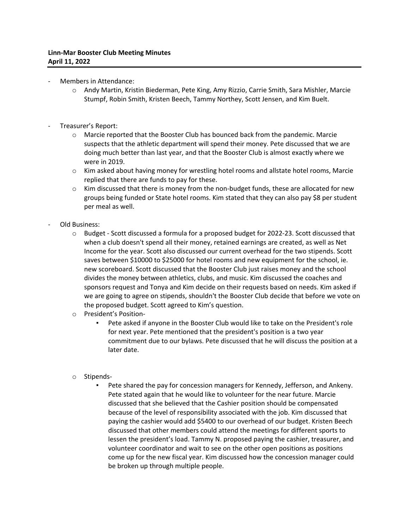- Members in Attendance:
	- o Andy Martin, Kristin Biederman, Pete King, Amy Rizzio, Carrie Smith, Sara Mishler, Marcie Stumpf, Robin Smith, Kristen Beech, Tammy Northey, Scott Jensen, and Kim Buelt.
- Treasurer's Report:
	- o Marcie reported that the Booster Club has bounced back from the pandemic. Marcie suspects that the athletic department will spend their money. Pete discussed that we are doing much better than last year, and that the Booster Club is almost exactly where we were in 2019.
	- o Kim asked about having money for wrestling hotel rooms and allstate hotel rooms, Marcie replied that there are funds to pay for these.
	- $\circ$  Kim discussed that there is money from the non-budget funds, these are allocated for new groups being funded or State hotel rooms. Kim stated that they can also pay \$8 per student per meal as well.
- Old Business:
	- $\circ$  Budget Scott discussed a formula for a proposed budget for 2022-23. Scott discussed that when a club doesn't spend all their money, retained earnings are created, as well as Net Income for the year. Scott also discussed our current overhead for the two stipends. Scott saves between \$10000 to \$25000 for hotel rooms and new equipment for the school, ie. new scoreboard. Scott discussed that the Booster Club just raises money and the school divides the money between athletics, clubs, and music. Kim discussed the coaches and sponsors request and Tonya and Kim decide on their requests based on needs. Kim asked if we are going to agree on stipends, shouldn't the Booster Club decide that before we vote on the proposed budget. Scott agreed to Kim's question.
	- o President's Position-
		- Pete asked if anyone in the Booster Club would like to take on the President's role for next year. Pete mentioned that the president's position is a two year commitment due to our bylaws. Pete discussed that he will discuss the position at a later date.
	- o Stipends-
		- Pete shared the pay for concession managers for Kennedy, Jefferson, and Ankeny. Pete stated again that he would like to volunteer for the near future. Marcie discussed that she believed that the Cashier position should be compensated because of the level of responsibility associated with the job. Kim discussed that paying the cashier would add \$5400 to our overhead of our budget. Kristen Beech discussed that other members could attend the meetings for different sports to lessen the president's load. Tammy N. proposed paying the cashier, treasurer, and volunteer coordinator and wait to see on the other open positions as positions come up for the new fiscal year. Kim discussed how the concession manager could be broken up through multiple people.